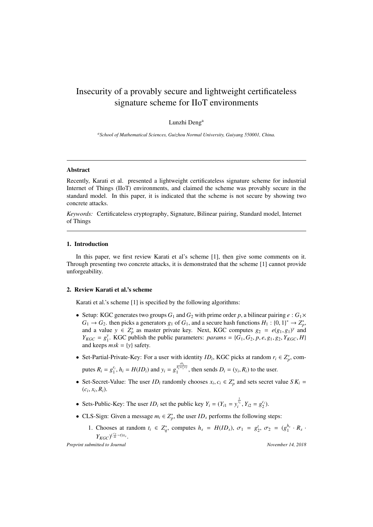# Insecurity of a provably secure and lightweight certificateless signature scheme for IIoT environments

Lunzhi Deng<sup>a</sup>

*<sup>a</sup>School of Mathematical Sciences, Guizhou Normal University, Guiyang 550001, China.*

#### Abstract

Recently, Karati et al. presented a lightweight certificateless signature scheme for industrial Internet of Things (IIoT) environments, and claimed the scheme was provably secure in the standard model. In this paper, it is indicated that the scheme is not secure by showing two concrete attacks.

*Keywords:* Certificateless cryptography, Signature, Bilinear pairing, Standard model, Internet of Things

## 1. Introduction

In this paper, we first review Karati et al's scheme [1], then give some comments on it. Through presenting two concrete attacks, it is demonstrated that the scheme [1] cannot provide unforgeability.

#### 2. Review Karati et al.'s scheme

Karati et al.'s scheme [1] is specified by the following algorithms:

- Setup: KGC generates two groups  $G_1$  and  $G_2$  with prime order p, a bilinear pairing  $e: G_1 \times$  $G_1 \rightarrow G_2$ . then picks a generators  $g_1$  of  $G_1$ , and a secure hash functions  $H_1: \{0, 1\}^* \rightarrow Z_p^*$ , and a value  $y \in Z_p^*$  as master private key. Next, KGC computes  $g_2 = e(g_1, g_1)^y$  and  $Y_{KGC} = g_1^y$  $\sum_{1}^{y}$ . KGC publish the public parameters: *params* = {*G*<sub>1</sub>, *G*<sub>2</sub>, *p*, *e*, *g*<sub>1</sub>, *g*<sub>2</sub>, *Y*<sub>*KGC</sub>*, *H*}</sub> and keeps  $msk = \{y\}$  safety.
- Set-Partial-Private-Key: For a user with identity  $ID_i$ , KGC picks at random  $r_i \in Z_p^*$ , com-

putes  $R_i = g_1^{r_i}$ ,  $h_i = H(ID_i)$  and  $y_i = g_1^{\frac{y_i}{h_i + r_i + y}}$ , then sends  $D_i = (y_i, R_i)$  to the user.

- Set-Secret-Value: The user  $ID_i$  randomly chooses  $x_i, c_i \in Z_p^*$  and sets secret value  $SK_i =$  $(c_i, x_i, R_i)$ .
- Sets-Public-Key: The user  $ID_i$  set the public key  $Y_i = (Y_{i1} = y_i^{\frac{1}{x_i}}, Y_{i2} = g_2^{c_i})$ .
- CLS-Sign: Given a message  $m_i \in Z_p^*$ , the user  $ID_s$  performs the following steps:
	- 1. Chooses at random  $t_i \in Z_q^*$ , computes  $h_s = H(ID_s)$ ,  $\sigma_1 = g_2^t$ ,  $\sigma_2 = (g_1^{h_s} \cdot R_s \cdot R_s)$  $Y_{KGC}$ <sup> $\int_{-\frac{c_s}{m}-t}^{\frac{c_s}{m}-t} x_s$ .</sup>

*Preprint submitted to Journal November 14, 2018*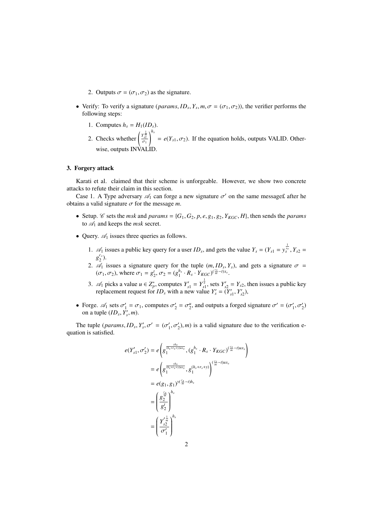- 2. Outputs  $\sigma = (\sigma_1, \sigma_2)$  as the signature.
- Verify: To verify a signature (*params*,  $ID_s$ ,  $Y_s$ ,  $m$ ,  $\sigma = (\sigma_1, \sigma_2)$ ), the verifier performs the following steps:
	- 1. Computes  $h_s = H_1(ID_s)$ .
	- 2. Checks whether  $\left(\frac{y_m^{\frac{1}{m}}}{\sigma_1}\right)$  $\int_{0}^{h_s} = e(Y_{s1}, \sigma_2)$ . If the equation holds, outputs VALID. Otherwise, outputs INVALID.

## 3. Forgery attack

Karati et al. claimed that their scheme is unforgeable. However, we show two concrete attacks to refute their claim in this section.

Case 1. A Type adversary  $\mathscr{A}_1$  can forge a new signature  $\sigma'$  on the same message £ after he obtains a valid signature  $\sigma$  for the message *m*.

- Setup. *C* sets the *msk* and *params* = { $G_1$ ,  $G_2$ ,  $p$ ,  $e$ ,  $g_1$ ,  $g_2$ ,  $Y_{KGC}$ ,  $H$ }, then sends the *params* to *A*<sup>1</sup> and keeps the *msk* secret.
- Query.  $\mathcal{A}_1$  issues three queries as follows.
	- 1.  $\mathscr{A}_1$  issues a public key query for a user *ID<sub>s</sub>*, and gets the value  $Y_s = (Y_{s1} = y_s^{\frac{1}{x_s}}, Y_{s2} =$  $g_2^{c_s}$ ).
	- 2.  $\mathscr{A}_1$  issues a signature query for the tuple  $(m, ID_s, Y_s)$ , and gets a signature  $\sigma =$  $(\sigma_1, \sigma_2)$ , where  $\sigma_1 = g_2^t$ ,  $\sigma_2 = (g_1^{h_s} \cdot R_s \cdot Y_{KGC})^{\frac{c_s}{m}-t^s}$ .
	- 3.  $\mathscr{A}_1$  picks a value  $u \in Z_p^*$ , computes  $Y'_{s1} = Y_{s1}^{\frac{1}{u}}$ , sets  $Y'_{s2} = Y_{s2}$ , then issues a public key replacement request for  $ID_s$  with a new value  $Y'_s = (Y'_{s1}, Y'_{s2})$ ,
- Forge.  $\mathscr{A}_1$  sets  $\sigma'_1 = \sigma_1$ , computes  $\sigma'_2 = \sigma''_2$ , and outputs a forged signature  $\sigma' = (\sigma'_1, \sigma'_2)$ on a tuple  $(ID_s, Y'_s, m)$ .

The tuple (*params*,  $ID_s$ ,  $Y'_s$ ,  $\sigma' = (\sigma'_1, \sigma'_2)$ , *m*) is a valid signature due to the verification equation is satisfied.

$$
e(Y'_{s1}, \sigma'_2) = e\left(g^{\frac{y_{hs}}{\left(h_s + r_s + y\right)\right)\left(Ks\right)}}\left(g_1^{h_s} \cdot R_s \cdot Y_{KGC}\right)^{\left(\frac{c_s}{m} - t\right)\left(Ks\right)}
$$

$$
= e\left(g^{\frac{y_{hs}}{\left(h_s + r_s + y\right)\right)\left(Ks\right)}}\left(g_1^{(h_s + r_s + y)}\right)^{\left(\frac{c_s}{m} - t\right)\left(Ks\right)}
$$

$$
= e(g_1, g_1)^{y\left(\frac{c_s}{m} - t\right)h_s}
$$

$$
= \left(g_2^{\frac{c_s}{m}}\right)^{h_s}
$$

$$
= \left(\frac{Y_{s2}^{\frac{1}{m}}}{g_2^t}\right)^{h_s}
$$